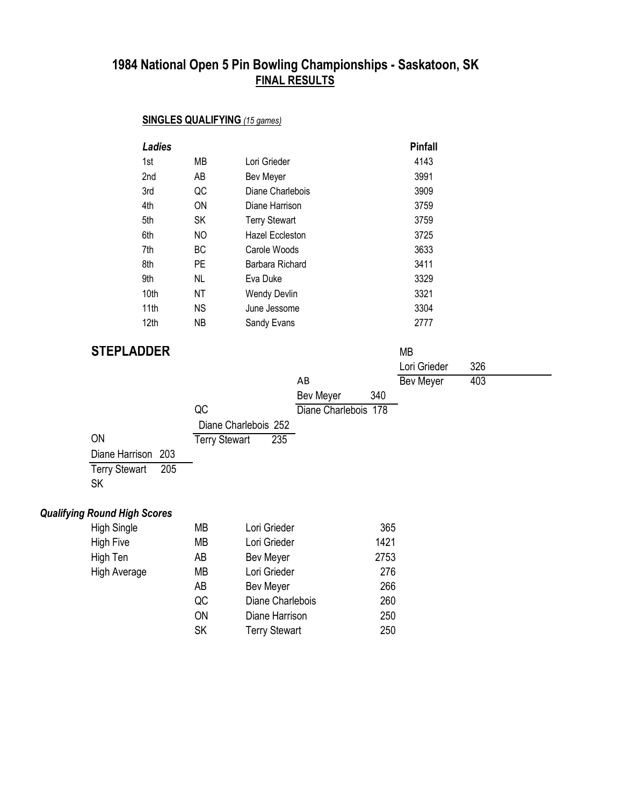## **SINGLES QUALIFYING** *(15 games)*

| <b>Ladies</b> |           |                      | <b>Pinfall</b> |
|---------------|-----------|----------------------|----------------|
| 1st           | МB        | Lori Grieder         | 4143           |
| 2nd           | AB        | Bev Meyer            | 3991           |
| 3rd           | QC        | Diane Charlebois     | 3909           |
| 4th           | ON        | Diane Harrison       | 3759           |
| 5th           | SK        | <b>Terry Stewart</b> | 3759           |
| 6th           | NO        | Hazel Eccleston      | 3725           |
| 7th           | ВC        | Carole Woods         | 3633           |
| 8th           | PE        | Barbara Richard      | 3411           |
| 9th           | NL        | Eva Duke             | 3329           |
| 10th          | ΝT        | <b>Wendy Devlin</b>  | 3321           |
| 11th          | <b>NS</b> | June Jessome         | 3304           |
| 12th          | ΝB        | Sandy Evans          | 2777           |

# **STEPLADDER** MB

| V I LI LI VY V LI V         |                             |                      |     | ∟ו∨ו             |     |
|-----------------------------|-----------------------------|----------------------|-----|------------------|-----|
|                             |                             |                      |     | Lori Grieder     | 326 |
|                             |                             | AB                   |     | <b>Bev Meyer</b> | 403 |
|                             |                             | <b>Bev Meyer</b>     | 340 |                  |     |
|                             | QC                          | Diane Charlebois 178 |     |                  |     |
|                             | Diane Charlebois 252        |                      |     |                  |     |
| ON                          | 235<br><b>Terry Stewart</b> |                      |     |                  |     |
| Diane Harrison 203          |                             |                      |     |                  |     |
| 205<br><b>Terry Stewart</b> |                             |                      |     |                  |     |
| <b>SK</b>                   |                             |                      |     |                  |     |

# *Qualifying Round High Scores*

| <b>High Single</b>  | МB        | Lori Grieder         | 365  |
|---------------------|-----------|----------------------|------|
| <b>High Five</b>    | <b>MB</b> | Lori Grieder         | 1421 |
| High Ten            | AB        | Bev Meyer            | 2753 |
| <b>High Average</b> | MВ        | Lori Grieder         | 276  |
|                     | AB        | Bev Meyer            | 266  |
|                     | QC        | Diane Charlebois     | 260  |
|                     | <b>ON</b> | Diane Harrison       | 250  |
|                     | <b>SK</b> | <b>Terry Stewart</b> | 250  |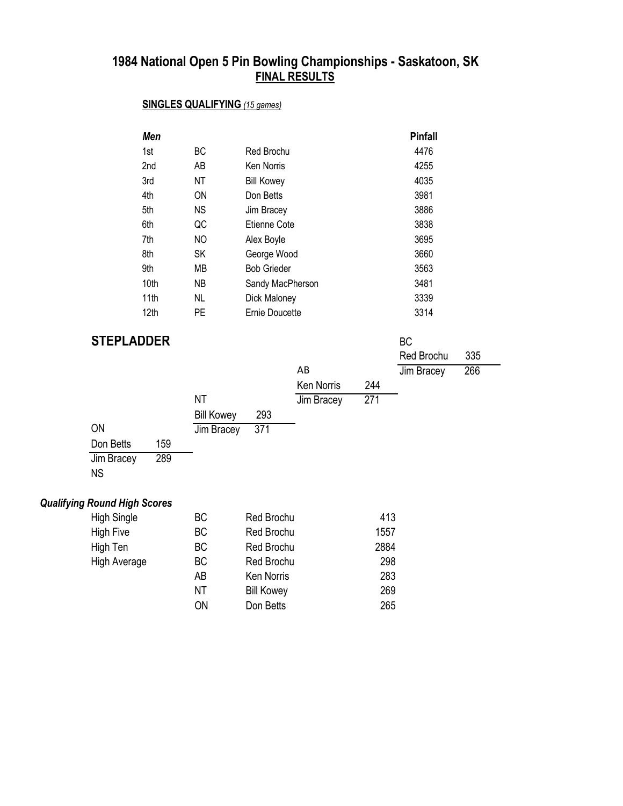## **SINGLES QUALIFYING** *(15 games)*

| Men              |     |                    | <b>Pinfall</b> |
|------------------|-----|--------------------|----------------|
| 1st              | BC. | Red Brochu         | 4476           |
| 2 <sub>nd</sub>  | AB  | <b>Ken Norris</b>  | 4255           |
| 3rd              | ΝT  | <b>Bill Kowey</b>  | 4035           |
| 4th              | ON  | Don Betts          | 3981           |
| 5th              | ΝS  | Jim Bracey         | 3886           |
| 6th              | QC  | Etienne Cote       | 3838           |
| 7th              | NO  | Alex Boyle         | 3695           |
| 8th              | SK  | George Wood        | 3660           |
| 9th              | MВ  | <b>Bob Grieder</b> | 3563           |
| 10 <sub>th</sub> | NB. | Sandy MacPherson   | 3481           |
| 11 <sub>th</sub> | NL. | Dick Maloney       | 3339           |
| 12 <sub>th</sub> | PE  | Ernie Doucette     | 3314           |

#### **STEPLADDER** BC

| V I LI LI VYVLI V |     |                   |     |                   |     | ◡          |     |  |
|-------------------|-----|-------------------|-----|-------------------|-----|------------|-----|--|
|                   |     |                   |     |                   |     | Red Brochu | 335 |  |
|                   |     |                   |     | AB                |     | Jim Bracey | 266 |  |
|                   |     |                   |     | <b>Ken Norris</b> | 244 |            |     |  |
|                   |     | <b>NT</b>         |     | Jim Bracey        | 271 |            |     |  |
|                   |     | <b>Bill Kowey</b> | 293 |                   |     |            |     |  |
| <b>ON</b>         |     | Jim Bracey        | 371 |                   |     |            |     |  |
| Don Betts         | 159 |                   |     |                   |     |            |     |  |
| Jim Bracey        | 289 |                   |     |                   |     |            |     |  |
| <b>NS</b>         |     |                   |     |                   |     |            |     |  |
|                   |     |                   |     |                   |     |            |     |  |

#### *Qualifying Round High Scores*

| <b>High Single</b>  | ВC        | <b>Red Brochu</b> | 413  |
|---------------------|-----------|-------------------|------|
| <b>High Five</b>    | <b>BC</b> | Red Brochu        | 1557 |
| High Ten            | <b>BC</b> | <b>Red Brochu</b> | 2884 |
| <b>High Average</b> | <b>BC</b> | <b>Red Brochu</b> | 298  |
|                     | AB        | <b>Ken Norris</b> | 283  |
|                     | ΝT        | <b>Bill Kowey</b> | 269  |
|                     | ΟN        | Don Betts         | 265  |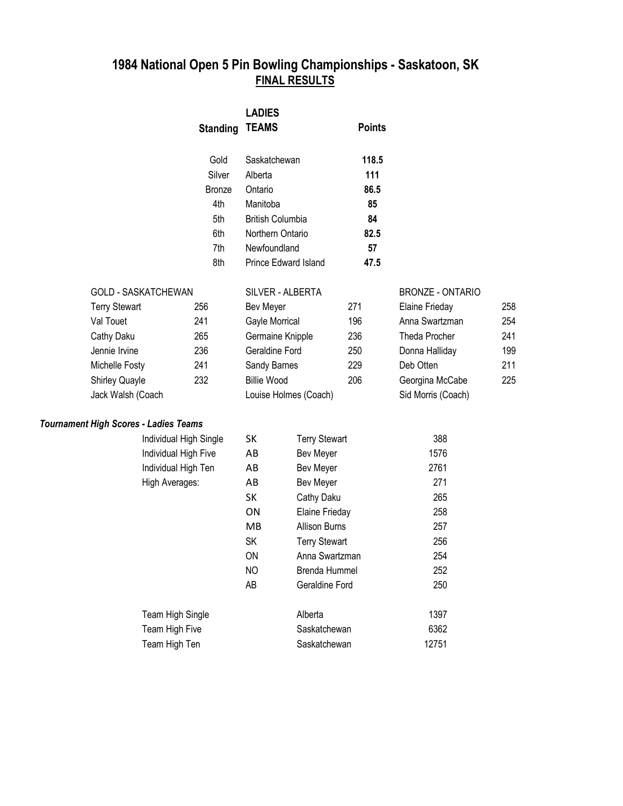|           |                                              | <b>Standing</b> | <b>LADIES</b><br><b>TEAMS</b> |                       | <b>Points</b> |                         |     |
|-----------|----------------------------------------------|-----------------|-------------------------------|-----------------------|---------------|-------------------------|-----|
|           |                                              | Gold            | Saskatchewan                  |                       | 118.5         |                         |     |
|           |                                              | Silver          | Alberta                       |                       | 111           |                         |     |
|           |                                              | <b>Bronze</b>   | Ontario                       |                       | 86.5          |                         |     |
|           |                                              | 4th             | Manitoba                      |                       | 85            |                         |     |
|           |                                              | 5th             | <b>British Columbia</b>       |                       | 84            |                         |     |
|           |                                              | 6th             | Northern Ontario              |                       | 82.5          |                         |     |
|           |                                              | 7th             | Newfoundland                  |                       | 57            |                         |     |
|           |                                              | 8th             |                               | Prince Edward Island  | 47.5          |                         |     |
|           | <b>GOLD - SASKATCHEWAN</b>                   |                 |                               | SILVER - ALBERTA      |               | <b>BRONZE - ONTARIO</b> |     |
|           | <b>Terry Stewart</b>                         | 256             | Bev Meyer                     |                       | 271           | Elaine Frieday          | 258 |
| Val Touet |                                              | 241             | Gayle Morrical                |                       | 196           | Anna Swartzman          | 254 |
|           | Cathy Daku                                   | 265             | Germaine Knipple              |                       | 236           | Theda Procher           | 241 |
|           | Jennie Irvine                                | 236             | Geraldine Ford                |                       | 250           | Donna Halliday          | 199 |
|           | Michelle Fosty                               | 241             | Sandy Barnes                  |                       | 229           | Deb Otten               | 211 |
|           | Shirley Quayle                               | 232             | <b>Billie Wood</b>            |                       | 206           | Georgina McCabe         | 225 |
|           | Jack Walsh (Coach                            |                 |                               | Louise Holmes (Coach) |               | Sid Morris (Coach)      |     |
|           | <b>Tournament High Scores - Ladies Teams</b> |                 |                               |                       |               |                         |     |
|           | Individual High Single                       |                 | SK                            | <b>Terry Stewart</b>  |               | 388                     |     |
|           | Individual High Five                         |                 | AB                            | <b>Bev Meyer</b>      |               | 1576                    |     |
|           | Individual High Ten                          |                 | AB                            | <b>Bev Meyer</b>      |               | 2761                    |     |
|           | High Averages:                               |                 | AB                            | Bev Meyer             |               | 271                     |     |
|           |                                              |                 | <b>SK</b>                     | Cathy Daku            |               | 265                     |     |
|           |                                              |                 | ON                            | Elaine Frieday        |               | 258                     |     |
|           |                                              |                 | MB                            | <b>Allison Burns</b>  |               | 257                     |     |
|           |                                              |                 | SK                            | <b>Terry Stewart</b>  |               | 256                     |     |
|           |                                              |                 | ON                            | Anna Swartzman        |               | 254                     |     |
|           |                                              |                 | NO                            | Brenda Hummel         |               | 252                     |     |
|           |                                              |                 | AB                            | Geraldine Ford        |               | 250                     |     |
|           | Team High Single                             |                 |                               | Alberta               |               | 1397                    |     |
|           | Team High Five                               |                 |                               | Saskatchewan          |               | 6362                    |     |
|           | Team High Ten                                |                 |                               | Saskatchewan          |               | 12751                   |     |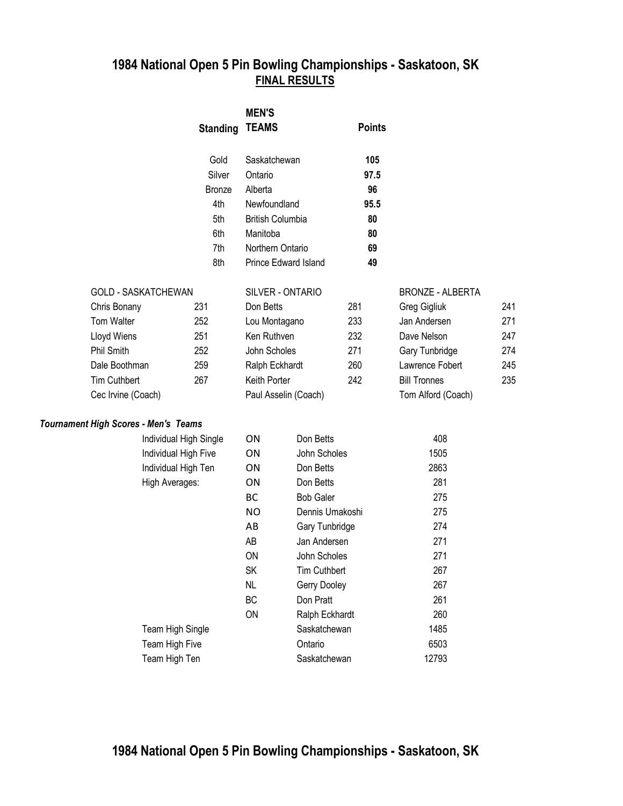|                                             |                        | <b>MEN'S</b>            |                      |               |                         |     |
|---------------------------------------------|------------------------|-------------------------|----------------------|---------------|-------------------------|-----|
|                                             | <b>Standing</b>        | <b>TEAMS</b>            |                      | <b>Points</b> |                         |     |
|                                             | Gold                   | Saskatchewan            |                      | 105           |                         |     |
|                                             | Silver                 | Ontario                 |                      | 97.5          |                         |     |
|                                             | <b>Bronze</b>          | Alberta                 |                      | 96            |                         |     |
|                                             | 4th                    | Newfoundland            |                      | 95.5          |                         |     |
|                                             | 5th                    | <b>British Columbia</b> |                      | 80            |                         |     |
|                                             | 6th                    | Manitoba                |                      | 80            |                         |     |
|                                             | 7th                    | Northern Ontario        |                      | 69            |                         |     |
|                                             | 8th                    |                         | Prince Edward Island | 49            |                         |     |
| <b>GOLD - SASKATCHEWAN</b>                  |                        |                         | SILVER - ONTARIO     |               | <b>BRONZE - ALBERTA</b> |     |
| Chris Bonany                                | 231                    | Don Betts               |                      | 281           | Greg Gigliuk            | 241 |
| Tom Walter                                  | 252                    | Lou Montagano           |                      | 233           | Jan Andersen            | 271 |
| Lloyd Wiens                                 | 251                    | Ken Ruthven             |                      | 232           | Dave Nelson             | 247 |
| <b>Phil Smith</b>                           | 252                    | John Scholes            |                      | 271           | Gary Tunbridge          | 274 |
| Dale Boothman                               | 259                    | Ralph Eckhardt          |                      | 260           | Lawrence Fobert         | 245 |
| <b>Tim Cuthbert</b>                         | 267                    | Keith Porter            |                      | 242           | <b>Bill Tronnes</b>     | 235 |
| Cec Irvine (Coach)                          |                        |                         | Paul Asselin (Coach) |               | Tom Alford (Coach)      |     |
| <b>Tournament High Scores - Men's Teams</b> |                        |                         |                      |               |                         |     |
|                                             | Individual High Single | ΟN                      | Don Betts            |               | 408                     |     |
|                                             | Individual High Five   | ON                      | John Scholes         |               | 1505                    |     |
|                                             |                        |                         |                      |               |                         |     |

| individual High Single | UΝ | Don Betts           | 40ŏ   |
|------------------------|----|---------------------|-------|
| Individual High Five   | ΟN | John Scholes        | 1505  |
| Individual High Ten    | ΟN | Don Betts           | 2863  |
| High Averages:         | ΟN | Don Betts           | 281   |
|                        | BС | <b>Bob Galer</b>    | 275   |
|                        | ΝO | Dennis Umakoshi     | 275   |
|                        | AВ | Gary Tunbridge      | 274   |
|                        | AB | Jan Andersen        | 271   |
|                        | ON | John Scholes        | 271   |
|                        | SK | <b>Tim Cuthbert</b> | 267   |
|                        | NL | Gerry Dooley        | 267   |
|                        | ВC | Don Pratt           | 261   |
|                        | ON | Ralph Eckhardt      | 260   |
| Team High Single       |    | Saskatchewan        | 1485  |
| Team High Five         |    | Ontario             | 6503  |
| Team High Ten          |    | Saskatchewan        | 12793 |
|                        |    |                     |       |